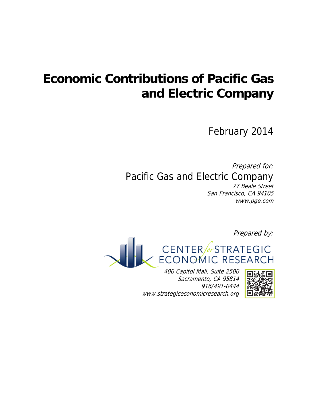# **Economic Contributions of Pacific Gas and Electric Company**

February 2014

Prepared for: Pacific Gas and Electric Company 77 Beale Street San Francisco, CA 94105

www.pge.com

Prepared by:



400 Capitol Mall, Suite 2500 Sacramento, CA 95814 916/491-0444 www.strategiceconomicresearch.org

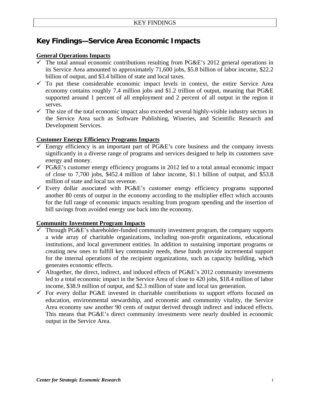# **Key Findings—Service Area Economic Impacts**

## **General Operations Impacts**

- The total annual economic contributions resulting from PG&E's 2012 general operations in its Service Area amounted to approximately 71,600 jobs, \$5.8 billion of labor income, \$22.2 billion of output, and \$3.4 billion of state and local taxes.
- $\checkmark$  To put these considerable economic impact levels in context, the entire Service Area economy contains roughly 7.4 million jobs and \$1.2 trillion of output, meaning that PG&E supported around 1 percent of all employment and 2 percent of all output in the region it serves.
- $\checkmark$  The size of the total economic impact also exceeded several highly-visible industry sectors in the Service Area such as Software Publishing, Wineries, and Scientific Research and Development Services.

## **Customer Energy Efficiency Programs Impacts**

- $\checkmark$  Energy efficiency is an important part of PG&E's core business and the company invests significantly in a diverse range of programs and services designed to help its customers save energy and money.
- $\checkmark$  PG&E's customer energy efficiency programs in 2012 led to a total annual economic impact of close to 7,700 jobs, \$452.4 million of labor income, \$1.1 billion of output, and \$53.8 million of state and local tax revenue.
- $\checkmark$  Every dollar associated with PG&E's customer energy efficiency programs supported another 80 cents of output in the economy according to the multiplier effect which accounts for the full range of economic impacts resulting from program spending and the insertion of bill savings from avoided energy use back into the economy.

## **Community Investment Program Impacts**

- Through PG&E's shareholder-funded community investment program, the company supports a wide array of charitable organizations, including non-profit organizations, educational institutions, and local government entities. In addition to sustaining important programs or creating new ones to fulfill key community needs, these funds provide incremental support for the internal operations of the recipient organizations, such as capacity building, which generates economic effects.
- $\checkmark$  Altogether, the direct, indirect, and induced effects of PG&E's 2012 community investments led to a total economic impact in the Service Area of close to 420 jobs, \$18.4 million of labor income, \$38.9 million of output, and \$2.3 million of state and local tax generation.
- $\checkmark$  For every dollar PG&E invested in charitable contributions to support efforts focused on education, environmental stewardship, and economic and community vitality, the Service Area economy saw another 90 cents of output derived through indirect and induced effects. This means that PG&E's direct community investments were nearly doubled in economic output in the Service Area.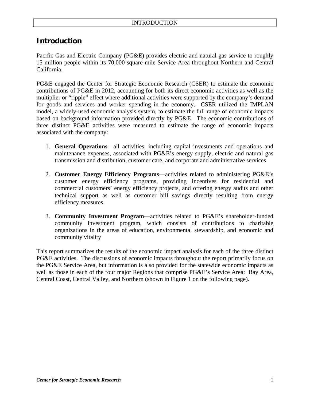## **Introduction**

Pacific Gas and Electric Company (PG&E) provides electric and natural gas service to roughly 15 million people within its 70,000-square-mile Service Area throughout Northern and Central California.

PG&E engaged the Center for Strategic Economic Research (CSER) to estimate the economic contributions of PG&E in 2012, accounting for both its direct economic activities as well as the multiplier or "ripple" effect where additional activities were supported by the company's demand for goods and services and worker spending in the economy. CSER utilized the IMPLAN model, a widely-used economic analysis system, to estimate the full range of economic impacts based on background information provided directly by PG&E. The economic contributions of three distinct PG&E activities were measured to estimate the range of economic impacts associated with the company:

- 1. **General Operations**—all activities, including capital investments and operations and maintenance expenses, associated with PG&E's energy supply, electric and natural gas transmission and distribution, customer care, and corporate and administrative services
- 2. **Customer Energy Efficiency Programs**—activities related to administering PG&E's customer energy efficiency programs, providing incentives for residential and commercial customers' energy efficiency projects, and offering energy audits and other technical support as well as customer bill savings directly resulting from energy efficiency measures
- 3. **Community Investment Program**—activities related to PG&E's shareholder-funded community investment program, which consists of contributions to charitable organizations in the areas of education, environmental stewardship, and economic and community vitality

This report summarizes the results of the economic impact analysis for each of the three distinct PG&E activities. The discussions of economic impacts throughout the report primarily focus on the PG&E Service Area, but information is also provided for the statewide economic impacts as well as those in each of the four major Regions that comprise PG&E's Service Area: Bay Area, Central Coast, Central Valley, and Northern (shown in Figure 1 on the following page).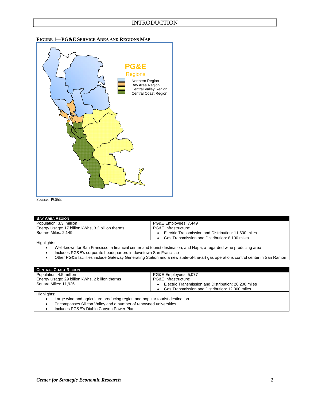



Source: PG&E

| <b>BAY AREA REGION</b>                                                                                                         |                                                      |  |  |
|--------------------------------------------------------------------------------------------------------------------------------|------------------------------------------------------|--|--|
| Population: 3.3 million                                                                                                        | PG&E Employees: 7,449                                |  |  |
| Energy Usage: 17 billion kWhs, 3.2 billion therms                                                                              | PG&E Infrastructure:                                 |  |  |
| Square Miles: 2,149                                                                                                            | Electric Transmission and Distribution: 11,600 miles |  |  |
|                                                                                                                                | Gas Transmission and Distribution: 8,100 miles       |  |  |
| Highlights:                                                                                                                    |                                                      |  |  |
| Well-known for San Francisco, a financial center and tourist destination, and Napa, a regarded wine producing area             |                                                      |  |  |
| Includes PG&E's corporate headquarters in downtown San Francisco                                                               |                                                      |  |  |
| Other PG&E facilities include Gateway Generating Station and a new state-of-the-art gas operations control center in San Ramon |                                                      |  |  |
|                                                                                                                                |                                                      |  |  |

| <b>CENTRAL COAST REGION</b>                                                 |                                                      |
|-----------------------------------------------------------------------------|------------------------------------------------------|
| Population: 4.5 million                                                     | PG&E Employees: 5,077                                |
| Energy Usage: 29 billion kWhs, 2 billion therms                             | <b>PG&amp;E Infrastructure:</b>                      |
| Square Miles: 11,926                                                        | Electric Transmission and Distribution: 26,200 miles |
|                                                                             | Gas Transmission and Distribution: 12,300 miles      |
| Highlights:                                                                 |                                                      |
| Large wine and agriculture producing region and popular tourist destination |                                                      |
|                                                                             |                                                      |

- Encompasses Silicon Valley and a number of renowned universities
- Includes PG&E's Diablo Canyon Power Plant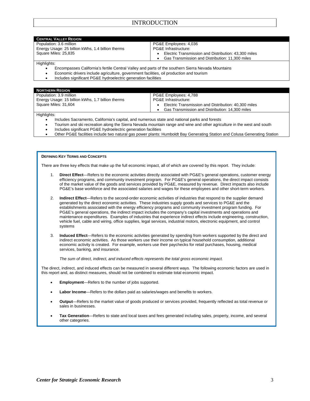### INTRODUCTION

| <b>CENTRAL VALLEY REGION</b>                      |                                                      |
|---------------------------------------------------|------------------------------------------------------|
| Population: 3.6 million                           | PG&E Employees: 4,036                                |
| Energy Usage: 25 billion kWhs, 1.4 billion therms | PG&E Infrastructure:                                 |
| Square Miles: 25.835                              | Electric Transmission and Distribution: 43,300 miles |
|                                                   | Gas Transmission and Distribution: 11,300 miles      |
| <b>The Property of Section And In</b>             |                                                      |

Highlights:

- Encompasses California's fertile Central Valley and parts of the southern Sierra Nevada Mountains
- Economic drivers include agriculture, government facilities, oil production and tourism
- Includes significant PG&E hydroelectric generation facilities

| <b>NORTHERN REGION</b>                            |                                                              |
|---------------------------------------------------|--------------------------------------------------------------|
| Population: 3.9 million                           | PG&E Employees: 4,788                                        |
| Energy Usage: 15 billion kWhs, 1.7 billion therms | PG&E Infrastructure:                                         |
| Square Miles: 31.604                              | Electric Transmission and Distribution: 40,300 miles         |
|                                                   | Gas Transmission and Distribution: 14,300 miles<br>$\bullet$ |
| Highlights:                                       |                                                              |

- Includes Sacramento, California's capital, and numerous state and national parks and forests
- Tourism and ski recreation along the Sierra Nevada mountain range and wine and other agriculture in the west and south
- Includes significant PG&E hydroelectric generation facilities
- Other PG&E facilities include two natural gas power plants: Humboldt Bay Generating Station and Colusa Generating Station

#### **DEFINING KEY TERMS AND CONCEPTS**

There are three key effects that make up the full economic impact, all of which are covered by this report. They include:

- 1. **Direct Effect**—Refers to the economic activities directly associated with PG&E's general operations, customer energy efficiency programs, and community investment program. For PG&E's general operations, the direct impact consists of the market value of the goods and services provided by PG&E, measured by revenue. Direct impacts also include PG&E's base workforce and the associated salaries and wages for these employees and other short-term workers.
- 2. **Indirect Effect**—Refers to the second-order economic activities of industries that respond to the supplier demand generated by the direct economic activities. These industries supply goods and services to PG&E and the establishments associated with the energy efficiency programs and community investment program funding. For PG&E's general operations, the indirect impact includes the company's capital investments and operations and maintenance expenditures. Examples of industries that experience indirect effects include engineering, construction, vehicle fuel, cable and wiring, office supplies, legal services, industrial motors, electronic equipment, and control systems
- 3. **Induced Effect**—Refers to the economic activities generated by spending from workers supported by the direct and indirect economic activities. As those workers use their income on typical household consumption, additional economic activity is created. For example, workers use their paychecks for retail purchases, housing, medical services, banking, and insurance.

*The sum of direct, indirect, and induced effects represents the total gross economic impact.* 

The direct, indirect, and induced effects can be measured in several different ways. The following economic factors are used in this report and, as distinct measures, should not be combined to estimate total economic impact.

- **Employment**—Refers to the number of jobs supported.
- **Labor Income**—Refers to the dollars paid as salaries/wages and benefits to workers.
- **Output**—Refers to the market value of goods produced or services provided, frequently reflected as total revenue or sales in businesses.
- **Tax Generation**—Refers to state and local taxes and fees generated including sales, property, income, and several other categories.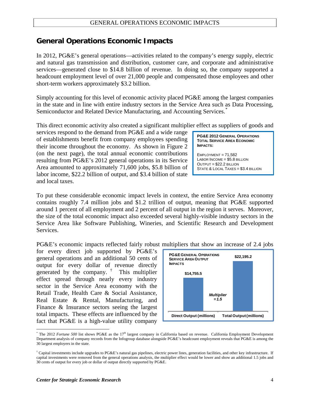## **General Operations Economic Impacts**

In 2012, PG&E's general operations—activities related to the company's energy supply, electric and natural gas transmission and distribution, customer care, and corporate and administrative services—generated close to \$14.8 billion of revenue. In doing so, the company supported a headcount employment level of over 21,000 people and compensated those employees and other short-term workers approximately \$3.2 billion.

Simply accounting for this level of economic activity placed PG&E among the largest companies in the state and in line with entire industry sectors in the Service Area such as Data Processing, Semiconductor and Related Device Manufacturing, and Accounting Services.<sup>[\\*](#page-5-0)</sup>

This direct economic activity also created a significant multiplier effect as suppliers of goods and

services respond to the demand from PG&E and a wide range of establishments benefit from company employees spending their income throughout the economy. As shown in Figure 2 (on the next page), the total annual economic contributions resulting from PG&E's 2012 general operations in its Service Area amounted to approximately 71,600 jobs, \$5.8 billion of labor income, \$22.2 billion of output, and \$3.4 billion of state and local taxes.

**PG&E 2012 GENERAL OPERATIONS TOTAL SERVICE AREA ECONOMIC IMPACTS:** 

 $FMPL$  OYMENT = 71,582 LABOR INCOME = \$5.8 BILLION OUTPUT = \$22.2 BILLION STATE & LOCAL TAXES = \$3.4 BILLION

To put these considerable economic impact levels in context, the entire Service Area economy contains roughly 7.4 million jobs and \$1.2 trillion of output, meaning that PG&E supported around 1 percent of all employment and 2 percent of all output in the region it serves. Moreover, the size of the total economic impact also exceeded several highly-visible industry sectors in the Service Area like Software Publishing, Wineries, and Scientific Research and Development Services.

PG&E's economic impacts reflected fairly robust multipliers that show an increase of 2.4 jobs

for every direct job supported by PG&E's general operations and an additional 50 cents of output for every dollar of revenue directly generated by the company.<sup>[†](#page-5-1)</sup> This multiplier effect spread through nearly every industry sector in the Service Area economy with the Retail Trade, Health Care & Social Assistance, Real Estate & Rental, Manufacturing, and Finance & Insurance sectors seeing the largest total impacts. These effects are influenced by the fact that PG&E is a high-value utility company



<span id="page-5-0"></span><sup>&</sup>lt;sup>\*</sup> The 2012 *Fortune 500* list shows PG&E as the 17<sup>th</sup> largest company in California based on revenue. California Employment Development Department analysis of company records from the Infogroup database alongside PG&E's headcount employment reveals that PG&E is among the 30 largest employers in the state.

 $\overline{a}$ 

<span id="page-5-1"></span> $\dagger$  Capital investments include upgrades to PG&E's natural gas pipelines, electric power lines, generation facilities, and other key infrastructure. If capital investments were removed from the general operations analysis, the multiplier effect would be lower and show an additional 1.5 jobs and 30 cents of output for every job or dollar of output directly supported by PG&E.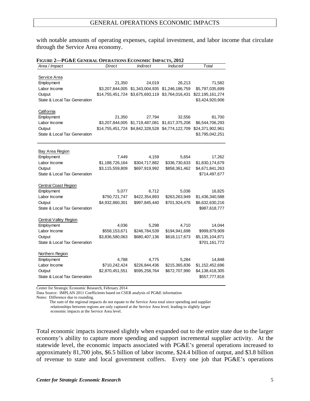with notable amounts of operating expenses, capital investment, and labor income that circulate through the Service Area economy.

| FIGURE 2—PG&E GENERAL OPERATIONS ECONOMIC IMPACTS, 2012 |                                                  |                                                 |                |                  |  |  |
|---------------------------------------------------------|--------------------------------------------------|-------------------------------------------------|----------------|------------------|--|--|
| Area / Impact                                           | Direct                                           | <b>Indirect</b>                                 | <b>Induced</b> | Total            |  |  |
|                                                         |                                                  |                                                 |                |                  |  |  |
| Service Area                                            |                                                  |                                                 |                |                  |  |  |
| Employment                                              | 21,350                                           | 24,019                                          | 26,213         | 71,582           |  |  |
| Labor Income                                            |                                                  | \$3,207,844,005 \$1,343,004,935 \$1,246,186,759 |                | \$5,797,035,699  |  |  |
| Output                                                  | \$14,755,451,724 \$3,675,693,119 \$3,764,016,431 |                                                 |                | \$22,195,161,274 |  |  |
| State & Local Tax Generation                            |                                                  |                                                 |                | \$3,424,920,906  |  |  |
| <b>California</b>                                       |                                                  |                                                 |                |                  |  |  |
| Employment                                              | 21,350                                           | 27,794                                          | 32,556         | 81,700           |  |  |
| Labor Income                                            |                                                  | \$3,207,844,005 \$1,719,487,081 \$1,617,375,208 |                | \$6,544,706,293  |  |  |
| Output                                                  | \$14,755,451,724 \$4,842,328,528 \$4,774,122,709 |                                                 |                | \$24,371,902,961 |  |  |
| State & Local Tax Generation                            |                                                  |                                                 |                | \$3,795,042,251  |  |  |
|                                                         |                                                  |                                                 |                |                  |  |  |
| <b>Bay Area Region</b>                                  |                                                  |                                                 |                |                  |  |  |
| Employment                                              | 7,449                                            | 4,159                                           | 5,654          | 17,262           |  |  |
| Labor Income                                            | \$1,188,726,164                                  | \$304,717,882                                   | \$336,730,633  | \$1,830,174,679  |  |  |
| Output                                                  | \$3,115,559,809                                  | \$697,919,992                                   | \$858,361,462  | \$4,671,841,263  |  |  |
| State & Local Tax Generation                            |                                                  |                                                 |                | \$714,497,677    |  |  |
| <b>Central Coast Region</b>                             |                                                  |                                                 |                |                  |  |  |
| Employment                                              | 5,077                                            | 6,712                                           | 5,036          | 16,825           |  |  |
| Labor Income                                            | \$750,721,747                                    | \$422,354,893                                   | \$263,263,949  | \$1,436,340,588  |  |  |
| Output                                                  | \$4,932,860,301                                  | \$997,845,440                                   | \$701,924,476  | \$6,632,630,216  |  |  |
| State & Local Tax Generation                            |                                                  |                                                 |                | \$987,618,777    |  |  |
| <b>Central Valley Region</b>                            |                                                  |                                                 |                |                  |  |  |
| Employment                                              | 4,036                                            | 5,298                                           | 4,710          | 14,044           |  |  |
| Labor Income                                            | \$558,153,671                                    | \$246,784,539                                   | \$194,941,698  | \$999,879,909    |  |  |
| Output                                                  | \$3,836,580,063                                  | \$680,407,136                                   | \$618,117,673  | \$5,135,104,871  |  |  |
| State & Local Tax Generation                            |                                                  |                                                 |                | \$701,161,772    |  |  |
| Northern Region                                         |                                                  |                                                 |                |                  |  |  |
| Employment                                              | 4,788                                            | 4,775                                           | 5,284          | 14,848           |  |  |
| Labor Income                                            | \$710,242,424                                    | \$226,844,436                                   | \$215,365,836  | \$1,152,452,696  |  |  |
| Output                                                  | \$2,870,451,551                                  | \$595,258,764                                   | \$672,707,990  | \$4,138,418,305  |  |  |
| State & Local Tax Generation                            |                                                  |                                                 |                | \$557,777,816    |  |  |
|                                                         |                                                  |                                                 |                |                  |  |  |

Center for Strategic Economic Research, February 2014

Data Source: IMPLAN 2011 Coefficients based on CSER analysis of PG&E information

Notes: Difference due to rounding.

 The sum of the regional impacts do not equate to the Service Area total since spending and supplier relationships between regions are only captured at the Service Area level, leading to slightly larger economic impacts at the Service Area level.

Total economic impacts increased slightly when expanded out to the entire state due to the larger economy's ability to capture more spending and support incremental supplier activity. At the statewide level, the economic impacts associated with PG&E's general operations increased to approximately 81,700 jobs, \$6.5 billion of labor income, \$24.4 billion of output, and \$3.8 billion of revenue to state and local government coffers. Every one job that PG&E's operations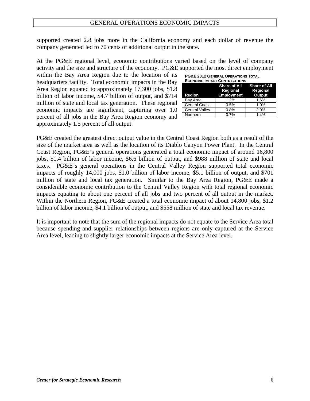#### GENERAL OPERATIONS ECONOMIC IMPACTS

supported created 2.8 jobs more in the California economy and each dollar of revenue the company generated led to 70 cents of additional output in the state.

At the PG&E regional level, economic contributions varied based on the level of company activity and the size and structure of the economy. PG&E supported the most direct employment

within the Bay Area Region due to the location of its headquarters facility. Total economic impacts in the Bay Area Region equated to approximately 17,300 jobs, \$1.8 billion of labor income, \$4.7 billion of output, and \$714 million of state and local tax generation. These regional economic impacts are significant, capturing over 1.0 percent of all jobs in the Bay Area Region economy and approximately 1.5 percent of all output.

| <b>PG&amp;E 2012 GENERAL OPERATIONS TOTAL</b>                                                                                                                                                                                  |  |
|--------------------------------------------------------------------------------------------------------------------------------------------------------------------------------------------------------------------------------|--|
| the concernsion of the contract of the communication of the contract of the contract of the contract of the contract of the contract of the contract of the contract of the contract of the contract of the contract of the co |  |

| <b>ECONOMIC IMPACT CONTRIBUTIONS</b> |                                      |                                                 |  |  |  |
|--------------------------------------|--------------------------------------|-------------------------------------------------|--|--|--|
| Region                               | <b>Regional</b><br><b>Employment</b> | Share of All Share of All<br>Regional<br>Output |  |  |  |
| Bay Area                             | 1.2%                                 | 1.5%                                            |  |  |  |
| <b>Central Coast</b>                 | 0.5%                                 | 1.0%                                            |  |  |  |
| <b>Central Valley</b>                | 0.8%                                 | 2.0%                                            |  |  |  |
| Northern                             | 0.7%                                 | 1.4%                                            |  |  |  |

PG&E created the greatest direct output value in the Central Coast Region both as a result of the size of the market area as well as the location of its Diablo Canyon Power Plant. In the Central Coast Region, PG&E's general operations generated a total economic impact of around 16,800 jobs, \$1.4 billion of labor income, \$6.6 billion of output, and \$988 million of state and local taxes. PG&E's general operations in the Central Valley Region supported total economic impacts of roughly 14,000 jobs, \$1.0 billion of labor income, \$5.1 billion of output, and \$701 million of state and local tax generation. Similar to the Bay Area Region, PG&E made a considerable economic contribution to the Central Valley Region with total regional economic impacts equating to about one percent of all jobs and two percent of all output in the market. Within the Northern Region, PG&E created a total economic impact of about 14,800 jobs, \$1.2 billion of labor income, \$4.1 billion of output, and \$558 million of state and local tax revenue.

It is important to note that the sum of the regional impacts do not equate to the Service Area total because spending and supplier relationships between regions are only captured at the Service Area level, leading to slightly larger economic impacts at the Service Area level.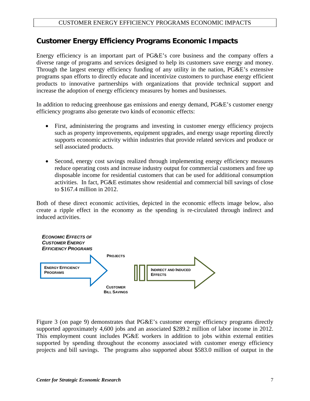## **Customer Energy Efficiency Programs Economic Impacts**

Energy efficiency is an important part of PG&E's core business and the company offers a diverse range of programs and services designed to help its customers save energy and money. Through the largest energy efficiency funding of any utility in the nation, PG&E's extensive programs span efforts to directly educate and incentivize customers to purchase energy efficient products to innovative partnerships with organizations that provide technical support and increase the adoption of energy efficiency measures by homes and businesses.

In addition to reducing greenhouse gas emissions and energy demand, PG&E's customer energy efficiency programs also generate two kinds of economic effects:

- First, administering the programs and investing in customer energy efficiency projects such as property improvements, equipment upgrades, and energy usage reporting directly supports economic activity within industries that provide related services and produce or sell associated products.
- Second, energy cost savings realized through implementing energy efficiency measures reduce operating costs and increase industry output for commercial customers and free up disposable income for residential customers that can be used for additional consumption activities. In fact, PG&E estimates show residential and commercial bill savings of close to \$167.4 million in 2012.

Both of these direct economic activities, depicted in the economic effects image below, also create a ripple effect in the economy as the spending is re-circulated through indirect and induced activities.



Figure 3 (on page 9) demonstrates that PG&E's customer energy efficiency programs directly supported approximately 4,600 jobs and an associated \$289.2 million of labor income in 2012. This employment count includes PG&E workers in addition to jobs within external entities supported by spending throughout the economy associated with customer energy efficiency projects and bill savings. The programs also supported about \$583.0 million of output in the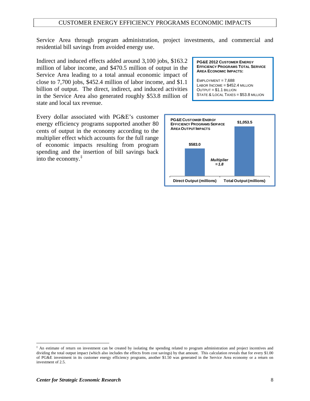#### CUSTOMER ENERGY EFFICIENCY PROGRAMS ECONOMIC IMPACTS

Service Area through program administration, project investments, and commercial and residential bill savings from avoided energy use.

Indirect and induced effects added around 3,100 jobs, \$163.2 million of labor income, and \$470.5 million of output in the Service Area leading to a total annual economic impact of close to 7,700 jobs, \$452.4 million of labor income, and \$1.1 billion of output. The direct, indirect, and induced activities in the Service Area also generated roughly \$53.8 million of state and local tax revenue.

Every dollar associated with PG&E's customer energy efficiency programs supported another 80 cents of output in the economy according to the multiplier effect which accounts for the full range of economic impacts resulting from program spending and the insertion of bill savings back into the economy.[‡](#page-9-0)

**PG&E 2012 CUSTOMER ENERGY EFFICIENCY PROGRAMS TOTAL SERVICE AREA ECONOMIC IMPACTS:** 

EMPLOYMENT = 7,688 LABOR INCOME = \$452.4 MILLION OUTPUT = \$1.1 BILLION STATE & LOCAL TAXES = \$53.8 MILLION



 $\overline{a}$ 

<span id="page-9-0"></span><sup>‡</sup> An estimate of return on investment can be created by isolating the spending related to program administration and project incentives and dividing the total output impact (which also includes the effects from cost savings) by that amount. This calculation reveals that for every \$1.00 of PG&E investment in its customer energy efficiency programs, another \$1.50 was generated in the Service Area economy or a return on investment of 2.5.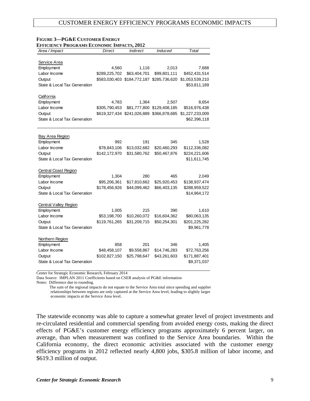| Area / Impact                | Direct        | <b>Indirect</b> | Induced                                   | Total                                                     |
|------------------------------|---------------|-----------------|-------------------------------------------|-----------------------------------------------------------|
|                              |               |                 |                                           |                                                           |
| Service Area                 |               |                 |                                           |                                                           |
| Employment                   | 4,560         | 1,116           | 2,013                                     | 7,688                                                     |
| Labor Income                 | \$289,225,702 | \$63,404,701    | \$99,801,111                              | \$452,431,514                                             |
| Output                       |               |                 | \$583,030,403 \$184,772,187 \$285,736,620 | \$1,053,539,210                                           |
| State & Local Tax Generation |               |                 |                                           | \$53,811,189                                              |
| California                   |               |                 |                                           |                                                           |
| Employment                   | 4,783         | 1,364           | 2,507                                     | 8,654                                                     |
| Labor Income                 | \$305,790,453 |                 | \$81,777,800 \$129,408,185                | \$516,976,438                                             |
| Output                       |               |                 |                                           | \$619,327,434 \$241,026,889 \$366,878,685 \$1,227,233,009 |
| State & Local Tax Generation |               |                 |                                           | \$62,396,118                                              |
|                              |               |                 |                                           |                                                           |
| <b>Bay Area Region</b>       |               |                 |                                           |                                                           |
| Employment                   | 992           | 191             | 345                                       | 1,528                                                     |
| Labor Income                 | \$78,843,106  | \$13,032,682    | \$20,460,293                              | \$112,336,082                                             |
| Output                       | \$142,172,970 | \$31,580,762    | \$50,467,876                              | \$224,221,606                                             |
| State & Local Tax Generation |               |                 |                                           | \$11,611,745                                              |
|                              |               |                 |                                           |                                                           |
| <b>Central Coast Region</b>  |               |                 |                                           |                                                           |
| Employment                   | 1,304         | 280             | 465                                       | 2,049                                                     |
| Labor Income                 | \$95,206,361  | \$17,810,662    | \$25,920,453                              | \$138,937,474                                             |
| Output                       | \$178,456,926 | \$44,099,462    | \$66,403,135                              | \$288,959,522                                             |
| State & Local Tax Generation |               |                 |                                           | \$14,964,172                                              |
|                              |               |                 |                                           |                                                           |
| <b>Central Valley Region</b> |               |                 |                                           |                                                           |
| Employment                   | 1,005         | 215             | 390                                       | 1,610                                                     |
| Labor Income                 | \$53,198,700  | \$10,260,072    | \$16,604,362                              | \$80,063,135                                              |
| Output                       | \$119,761,265 | \$31,209,715    | \$50,254,301                              | \$201,225,282                                             |
| State & Local Tax Generation |               |                 |                                           | \$9,961,778                                               |
| Northern Region              |               |                 |                                           |                                                           |
| Employment                   | 858           | 201             | 346                                       | 1,405                                                     |
| Labor Income                 | \$48,458,107  | \$9,558,867     | \$14,746,283                              | \$72,763,256                                              |
| Output                       | \$102,827,150 | \$25,798,647    | \$43,261,603                              | \$171,887,401                                             |
| State & Local Tax Generation |               |                 |                                           | \$9,371,037                                               |

#### **FIGURE 3—PG&E CUSTOMER ENERGY EFFICIENCY PROGRAMS ECONOMIC IMPACTS, 2012**

Center for Strategic Economic Research, February 2014

Data Source: IMPLAN 2011 Coefficients based on CSER analysis of PG&E information

Notes: Difference due to rounding.

 The sum of the regional impacts do not equate to the Service Area total since spending and supplier relationships between regions are only captured at the Service Area level, leading to slightly larger economic impacts at the Service Area level.

The statewide economy was able to capture a somewhat greater level of project investments and re-circulated residential and commercial spending from avoided energy costs, making the direct effects of PG&E's customer energy efficiency programs approximately 6 percent larger, on average, than when measurement was confined to the Service Area boundaries. Within the California economy, the direct economic activities associated with the customer energy efficiency programs in 2012 reflected nearly 4,800 jobs, \$305.8 million of labor income, and \$619.3 million of output.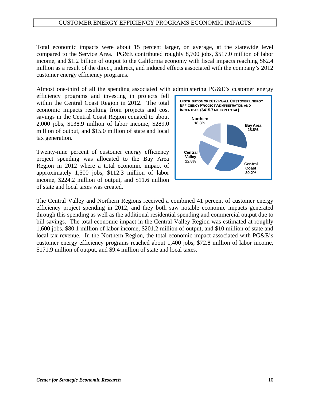#### CUSTOMER ENERGY EFFICIENCY PROGRAMS ECONOMIC IMPACTS

Total economic impacts were about 15 percent larger, on average, at the statewide level compared to the Service Area. PG&E contributed roughly 8,700 jobs, \$517.0 million of labor income, and \$1.2 billion of output to the California economy with fiscal impacts reaching \$62.4 million as a result of the direct, indirect, and induced effects associated with the company's 2012 customer energy efficiency programs.

Almost one-third of all the spending associated with administering PG&E's customer energy

efficiency programs and investing in projects fell within the Central Coast Region in 2012. The total economic impacts resulting from projects and cost savings in the Central Coast Region equated to about 2,000 jobs, \$138.9 million of labor income, \$289.0 million of output, and \$15.0 million of state and local tax generation.

Twenty-nine percent of customer energy efficiency project spending was allocated to the Bay Area Region in 2012 where a total economic impact of approximately 1,500 jobs, \$112.3 million of labor income, \$224.2 million of output, and \$11.6 million of state and local taxes was created.



The Central Valley and Northern Regions received a combined 41 percent of customer energy efficiency project spending in 2012, and they both saw notable economic impacts generated through this spending as well as the additional residential spending and commercial output due to bill savings. The total economic impact in the Central Valley Region was estimated at roughly 1,600 jobs, \$80.1 million of labor income, \$201.2 million of output, and \$10 million of state and local tax revenue. In the Northern Region, the total economic impact associated with PG&E's customer energy efficiency programs reached about 1,400 jobs, \$72.8 million of labor income, \$171.9 million of output, and \$9.4 million of state and local taxes.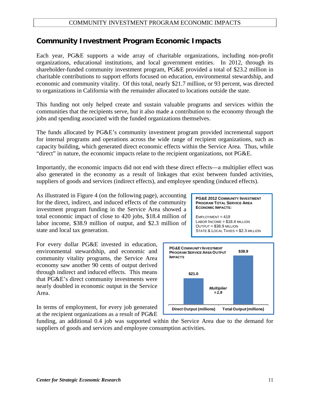# **Community Investment Program Economic Impacts**

Each year, PG&E supports a wide array of charitable organizations, including non-profit organizations, educational institutions, and local government entities. In 2012, through its shareholder-funded community investment program, PG&E provided a total of \$23.2 million in charitable contributions to support efforts focused on education, environmental stewardship, and economic and community vitality. Of this total, nearly \$21.7 million, or 93 percent, was directed to organizations in California with the remainder allocated to locations outside the state.

This funding not only helped create and sustain valuable programs and services within the communities that the recipients serve, but it also made a contribution to the economy through the jobs and spending associated with the funded organizations themselves.

The funds allocated by PG&E's community investment program provided incremental support for internal programs and operations across the wide range of recipient organizations, such as capacity building, which generated direct economic effects within the Service Area. Thus, while "direct" in nature, the economic impacts relate to the recipient organizations, not PG&E.

Importantly, the economic impacts did not end with these direct effects—a multiplier effect was also generated in the economy as a result of linkages that exist between funded activities, suppliers of goods and services (indirect effects), and employee spending (induced effects).

As illustrated in Figure 4 (on the following page), accounting for the direct, indirect, and induced effects of the community investment program funding in the Service Area showed a total economic impact of close to 420 jobs, \$18.4 million of labor income, \$38.9 million of output, and \$2.3 million of state and local tax generation.

For every dollar PG&E invested in education, environmental stewardship, and economic and community vitality programs, the Service Area economy saw another 90 cents of output derived through indirect and induced effects. This means that PG&E's direct community investments were nearly doubled in economic output in the Service Area.

In terms of employment, for every job generated at the recipient organizations as a result of PG&E

#### **PG&E 2012 COMMUNITY INVESTMENT PROGRAM TOTAL SERVICE AREA ECONOMIC IMPACTS:**

EMPLOYMENT = 419 LABOR INCOME = \$18.4 MILLION OUTPUT = \$38.9 MILLION STATE & LOCAL TAXES = \$2.3 MILLION



funding, an additional 0.4 job was supported within the Service Area due to the demand for suppliers of goods and services and employee consumption activities.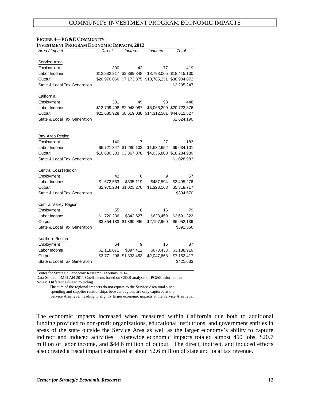#### COMMUNITY INVESTMENT PROGRAM ECONOMIC IMPACTS

| Area / Impact                | <b>Direct</b>            | <b>Indirect</b>         | <b>Induced</b>                        | Total                    |
|------------------------------|--------------------------|-------------------------|---------------------------------------|--------------------------|
|                              |                          |                         |                                       |                          |
| Service Area                 |                          |                         |                                       |                          |
| Employment                   | 300                      | 42                      | 77                                    | 419                      |
| Labor Income                 | \$12,232,217 \$2,389,848 |                         | \$3,793,065                           | \$18,415,130             |
| Output                       |                          |                         | \$20,976,066 \$7,173,375 \$10,785,231 | \$38,934,672             |
| State & Local Tax Generation |                          |                         |                                       | \$2,295,247              |
|                              |                          |                         |                                       |                          |
| California                   |                          |                         |                                       |                          |
| Employment                   | 301                      | 49                      | 98                                    | 448                      |
| Labor Income                 | \$12,709,498 \$2,948,087 |                         |                                       | \$5,066,290 \$20,723,876 |
| Output                       |                          |                         | \$21,680,928 \$8,619,038 \$14,312,561 | \$44,612,527             |
| State & Local Tax Generation |                          |                         |                                       | \$2,624,190              |
|                              |                          |                         |                                       |                          |
|                              |                          |                         |                                       |                          |
| Bay Area Region              |                          |                         |                                       |                          |
| Employment                   | 140                      | 17                      | 27                                    | 183                      |
| Labor Income                 |                          | \$6,721,347 \$1,280,103 | \$1,632,652                           | \$9,634,101              |
| Output                       | \$10,880,303 \$3,367,878 |                         |                                       | \$4,036,808 \$18,284,989 |
| State & Local Tax Generation |                          |                         |                                       | \$1,028,983              |
| <b>Central Coast Region</b>  |                          |                         |                                       |                          |
| Employment                   | 42                       | 6                       | 9                                     | 57                       |
| Labor Income                 | \$1,672,563              | \$335,119               | \$487,594                             | \$2,495,276              |
| Output                       |                          | \$2,970,284 \$1,025,270 | \$1,323,163                           | \$5,318,717              |
| State & Local Tax Generation |                          |                         |                                       | \$334,570                |
|                              |                          |                         |                                       |                          |
| <b>Central Valley Region</b> |                          |                         |                                       |                          |
| Employment                   | 55                       | 8                       | 16                                    | 79                       |
| Labor Income                 | \$1,720,236              | \$342,627               | \$628,459                             | \$2,691,322              |
| Output                       |                          | \$3,354,183 \$1,399,996 | \$2,197,960                           | \$6,952,139              |
| State & Local Tax Generation |                          |                         |                                       | \$392,556                |
|                              |                          |                         |                                       |                          |
| Northern Region              |                          |                         |                                       |                          |
| Employment                   | 64                       | 9                       | 15                                    | 87                       |
| Labor Income                 | \$2,118,071              | \$397,412               | \$673,433                             | \$3,188,916              |
| Output                       |                          | \$3,771,296 \$1,333,453 | \$2,047,668                           | \$7,152,417              |
| State & Local Tax Generation |                          |                         |                                       | \$421,633                |

# **FIGURE 4—PG&E COMMUNITY**

Center for Strategic Economic Research, February 2014

Data Source: IMPLAN 2011 Coefficients based on CSER analysis of PG&E information Notes: Difference due to rounding.

 The sum of the regional impacts do not equate to the Service Area total since spending and supplier relationships between regions are only captured at the Service Area level, leading to slightly larger economic impacts at the Service Area level.

The economic impacts increased when measured within California due both to additional funding provided to non-profit organizations, educational institutions, and government entities in areas of the state outside the Service Area as well as the larger economy's ability to capture indirect and induced activities. Statewide economic impacts totaled almost 450 jobs, \$20.7 million of labor income, and \$44.6 million of output. The direct, indirect, and induced effects also created a fiscal impact estimated at about \$2.6 million of state and local tax revenue.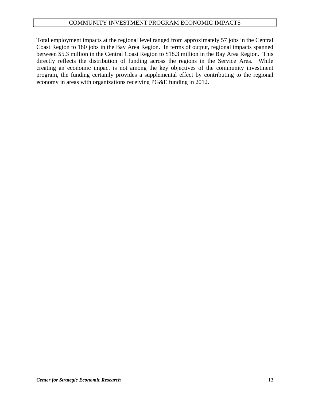### COMMUNITY INVESTMENT PROGRAM ECONOMIC IMPACTS

Total employment impacts at the regional level ranged from approximately 57 jobs in the Central Coast Region to 180 jobs in the Bay Area Region. In terms of output, regional impacts spanned between \$5.3 million in the Central Coast Region to \$18.3 million in the Bay Area Region. This directly reflects the distribution of funding across the regions in the Service Area. While creating an economic impact is not among the key objectives of the community investment program, the funding certainly provides a supplemental effect by contributing to the regional economy in areas with organizations receiving PG&E funding in 2012.